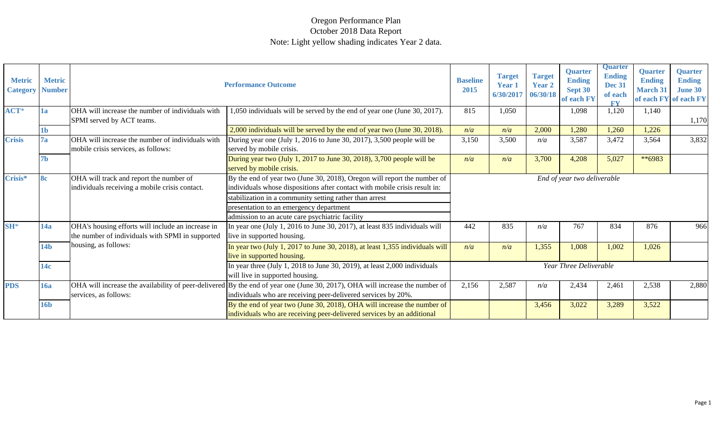#### Oregon Performance Plan October 2018 Data Report Note: Light yellow shading indicates Year 2 data.

| <b>Metric</b><br><b>Category</b> | <b>Metric</b><br><b>Number</b> |                                                                                                       | <b>Performance Outcome</b>                                                                                                                                                                                                                                                                                      | <b>Baseline</b><br>2015 | <b>Target</b><br><b>Year 1</b><br>6/30/2017 | <b>Target</b><br><b>Year 2</b><br>06/30/18 | <b>Quarter</b><br><b>Ending</b><br>Sept 30<br>of each FY | <b>Quarter</b><br><b>Ending</b><br><b>Dec 31</b><br>of each<br><b>FV</b> | <b>Quarter</b><br><b>Ending</b><br><b>March 31</b><br>of each FY of each FY | <b>Quarter</b><br><b>Ending</b><br><b>June 30</b> |
|----------------------------------|--------------------------------|-------------------------------------------------------------------------------------------------------|-----------------------------------------------------------------------------------------------------------------------------------------------------------------------------------------------------------------------------------------------------------------------------------------------------------------|-------------------------|---------------------------------------------|--------------------------------------------|----------------------------------------------------------|--------------------------------------------------------------------------|-----------------------------------------------------------------------------|---------------------------------------------------|
| ACT <sup>*</sup>                 | 1a                             | OHA will increase the number of individuals with<br>SPMI served by ACT teams.                         | 1,050 individuals will be served by the end of year one (June 30, 2017).                                                                                                                                                                                                                                        | 815                     | 1,050                                       |                                            | 1,098                                                    | 1,120                                                                    | 1,140                                                                       | 1,170                                             |
|                                  | 1b                             |                                                                                                       | 2,000 individuals will be served by the end of year two (June 30, 2018).                                                                                                                                                                                                                                        | n/a                     | n/a                                         | 2,000                                      | 1,280                                                    | 1,260                                                                    | 1,226                                                                       |                                                   |
| <b>Crisis</b>                    | 7a                             | OHA will increase the number of individuals with<br>mobile crisis services, as follows:               | During year one (July 1, 2016 to June 30, 2017), 3,500 people will be<br>served by mobile crisis.                                                                                                                                                                                                               | 3,150                   | 3,500                                       | n/a                                        | 3,587                                                    | 3,472                                                                    | 3,564                                                                       | 3,832                                             |
|                                  | 7b                             |                                                                                                       | During year two (July 1, 2017 to June 30, 2018), 3,700 people will be<br>served by mobile crisis.                                                                                                                                                                                                               | n/a                     | n/a                                         | 3,700                                      | 4,208                                                    | 5,027                                                                    | **6983                                                                      |                                                   |
| Crisis*                          | <b>8c</b>                      | OHA will track and report the number of<br>individuals receiving a mobile crisis contact.             | By the end of year two (June 30, 2018), Oregon will report the number of<br>individuals whose dispositions after contact with mobile crisis result in:<br>stabilization in a community setting rather than arrest<br>presentation to an emergency department<br>admission to an acute care psychiatric facility |                         |                                             |                                            | End of year two deliverable                              |                                                                          |                                                                             |                                                   |
| $SH^*$                           | 14a                            | OHA's housing efforts will include an increase in<br>the number of individuals with SPMI in supported | In year one (July 1, 2016 to June 30, 2017), at least 835 individuals will<br>live in supported housing.                                                                                                                                                                                                        | 442                     | 835                                         | n/a                                        | 767                                                      | 834                                                                      | 876                                                                         | 966                                               |
|                                  | 14 <sub>b</sub>                | housing, as follows:                                                                                  | In year two (July 1, 2017 to June 30, 2018), at least 1,355 individuals will<br>live in supported housing.                                                                                                                                                                                                      | n/a                     | n/a                                         | 1,355                                      | 1,008                                                    | 1,002                                                                    | 1,026                                                                       |                                                   |
|                                  | 14c                            |                                                                                                       | In year three (July 1, 2018 to June 30, 2019), at least 2,000 individuals<br>will live in supported housing.                                                                                                                                                                                                    |                         |                                             |                                            | Year Three Deliverable                                   |                                                                          |                                                                             |                                                   |
| <b>PDS</b>                       | <b>16a</b>                     | services, as follows:                                                                                 | OHA will increase the availability of peer-delivered By the end of year one (June 30, 2017), OHA will increase the number of<br>individuals who are receiving peer-delivered services by 20%.                                                                                                                   | 2,156                   | 2,587                                       | n/a                                        | 2,434                                                    | 2,461                                                                    | 2,538                                                                       | 2,880                                             |
|                                  | <b>16b</b>                     |                                                                                                       | By the end of year two (June 30, 2018), OHA will increase the number of<br>individuals who are receiving peer-delivered services by an additional                                                                                                                                                               |                         |                                             | 3,456                                      | 3,022                                                    | 3,289                                                                    | 3,522                                                                       |                                                   |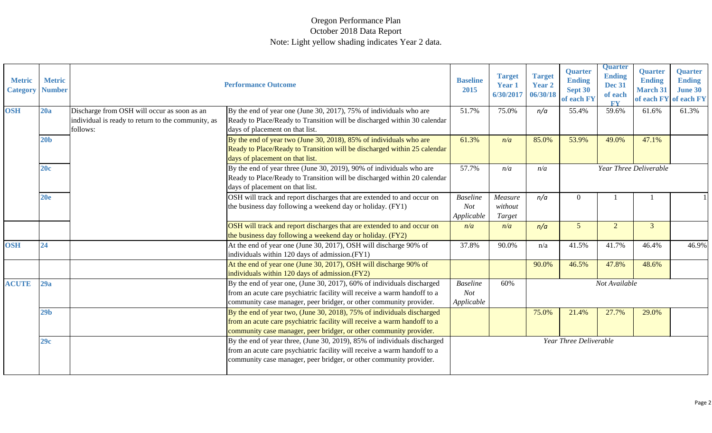#### Oregon Performance Plan October 2018 Data Report Note: Light yellow shading indicates Year 2 data.

| <b>Metric</b><br><b>Category</b> | <b>Metric</b><br><b>Number</b> |                                                                                                               | <b>Performance Outcome</b>                                                                                                                                                                                                 | <b>Baseline</b><br>2015                     | <b>Target</b><br><b>Year 1</b><br>6/30/2017 | <b>Target</b><br><b>Year 2</b><br>06/30/18 | Quarter<br><b>Ending</b><br>Sept 30<br>of each FY | <b>Quarter</b><br><b>Ending</b><br><b>Dec 31</b><br>of each<br><b>FY</b> | <b>Quarter</b><br><b>Ending</b><br><b>March 31</b><br>of each FY | <b>Quarter</b><br><b>Ending</b><br><b>June 30</b><br>of each FY |
|----------------------------------|--------------------------------|---------------------------------------------------------------------------------------------------------------|----------------------------------------------------------------------------------------------------------------------------------------------------------------------------------------------------------------------------|---------------------------------------------|---------------------------------------------|--------------------------------------------|---------------------------------------------------|--------------------------------------------------------------------------|------------------------------------------------------------------|-----------------------------------------------------------------|
| <b>OSH</b>                       | 20a                            | Discharge from OSH will occur as soon as an<br>individual is ready to return to the community, as<br>follows: | By the end of year one (June 30, 2017), $75\%$ of individuals who are<br>Ready to Place/Ready to Transition will be discharged within 30 calendar<br>days of placement on that list.                                       | 51.7%                                       | 75.0%                                       | n/a                                        | 55.4%                                             | 59.6%                                                                    | 61.6%                                                            | 61.3%                                                           |
|                                  | 20 <sub>b</sub>                |                                                                                                               | By the end of year two (June 30, 2018), 85% of individuals who are<br>Ready to Place/Ready to Transition will be discharged within 25 calendar<br>days of placement on that list.                                          | 61.3%                                       | n/a                                         | 85.0%                                      | 53.9%                                             | 49.0%                                                                    | 47.1%                                                            |                                                                 |
|                                  | 20c                            |                                                                                                               | By the end of year three (June 30, 2019), 90% of individuals who are<br>Ready to Place/Ready to Transition will be discharged within 20 calendar<br>days of placement on that list.                                        | 57.7%                                       | n/a                                         | n/a                                        |                                                   |                                                                          | Year Three Deliverable                                           |                                                                 |
|                                  | 20e                            |                                                                                                               | OSH will track and report discharges that are extended to and occur on<br>the business day following a weekend day or holiday. (FY1)                                                                                       | <b>Baseline</b><br><b>Not</b><br>Applicable | Measure<br>without<br>Target                | n/a                                        | 0                                                 |                                                                          |                                                                  |                                                                 |
|                                  |                                |                                                                                                               | OSH will track and report discharges that are extended to and occur on<br>the business day following a weekend day or holiday. (FY2)                                                                                       | n/a                                         | n/a                                         | n/a                                        | 5 <sup>5</sup>                                    | $\overline{2}$                                                           | $\overline{3}$                                                   |                                                                 |
| <b>OSH</b>                       | 24                             |                                                                                                               | At the end of year one (June 30, 2017), OSH will discharge 90% of<br>individuals within 120 days of admission.(FY1)                                                                                                        | 37.8%                                       | 90.0%                                       | n/a                                        | 41.5%                                             | 41.7%                                                                    | 46.4%                                                            | 46.9%                                                           |
|                                  |                                |                                                                                                               | At the end of year one (June 30, 2017), OSH will discharge 90% of<br>individuals within 120 days of admission.(FY2)                                                                                                        |                                             |                                             | 90.0%                                      | 46.5%                                             | 47.8%                                                                    | 48.6%                                                            |                                                                 |
| <b>ACUTE</b>                     | 29a                            |                                                                                                               | By the end of year one, (June 30, 2017), 60% of individuals discharged<br>from an acute care psychiatric facility will receive a warm handoff to a<br>community case manager, peer bridger, or other community provider.   | <b>Baseline</b><br>Not<br>Applicable        | 60%                                         |                                            |                                                   | Not Available                                                            |                                                                  |                                                                 |
|                                  | 29 <sub>b</sub>                |                                                                                                               | By the end of year two, (June 30, 2018), 75% of individuals discharged<br>from an acute care psychiatric facility will receive a warm handoff to a<br>community case manager, peer bridger, or other community provider.   |                                             |                                             | 75.0%                                      | 21.4%                                             | 27.7%                                                                    | 29.0%                                                            |                                                                 |
|                                  | 29c                            |                                                                                                               | By the end of year three, (June 30, 2019), 85% of individuals discharged<br>from an acute care psychiatric facility will receive a warm handoff to a<br>community case manager, peer bridger, or other community provider. |                                             |                                             |                                            | Year Three Deliverable                            |                                                                          |                                                                  |                                                                 |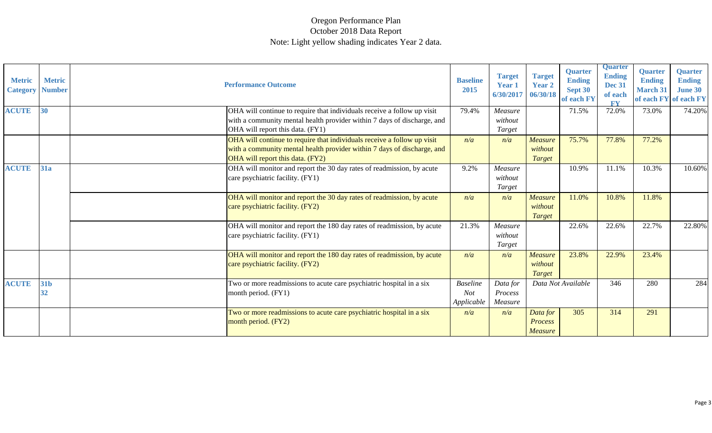#### Oregon Performance Plan October 2018 Data Report Note: Light yellow shading indicates Year 2 data.

| <b>Metric</b><br><b>Category</b> | <b>Metric</b><br><b>Number</b> | <b>Performance Outcome</b>                                                                                                                                                             | <b>Baseline</b><br>2015                     | <b>Target</b><br><b>Year 1</b><br>6/30/2017 | <b>Target</b><br><b>Year 2</b><br>06/30/18 | <b>Quarter</b><br><b>Ending</b><br>Sept 30<br>of each FY | <b>Quarter</b><br><b>Ending</b><br><b>Dec 31</b><br>of each<br><b>FV</b> | Quarter<br><b>Ending</b><br><b>March 31</b><br>of each FY | <b>Quarter</b><br><b>Ending</b><br><b>June 30</b><br>of each FY |
|----------------------------------|--------------------------------|----------------------------------------------------------------------------------------------------------------------------------------------------------------------------------------|---------------------------------------------|---------------------------------------------|--------------------------------------------|----------------------------------------------------------|--------------------------------------------------------------------------|-----------------------------------------------------------|-----------------------------------------------------------------|
| <b>ACUTE</b>                     | 30                             | OHA will continue to require that individuals receive a follow up visit<br>with a community mental health provider within 7 days of discharge, and<br>OHA will report this data. (FY1) | 79.4%                                       | Measure<br>without<br>Target                |                                            | 71.5%                                                    | 72.0%                                                                    | 73.0%                                                     | 74.20%                                                          |
|                                  |                                | OHA will continue to require that individuals receive a follow up visit<br>with a community mental health provider within 7 days of discharge, and<br>OHA will report this data. (FY2) | n/a                                         | n/a                                         | Measure<br>without<br><b>Target</b>        | 75.7%                                                    | 77.8%                                                                    | 77.2%                                                     |                                                                 |
| <b>ACUTE</b>                     | 31a                            | OHA will monitor and report the 30 day rates of readmission, by acute<br>care psychiatric facility. (FY1)                                                                              | 9.2%                                        | Measure<br>without<br>Target                |                                            | 10.9%                                                    | 11.1%                                                                    | 10.3%                                                     | 10.60%                                                          |
|                                  |                                | OHA will monitor and report the 30 day rates of readmission, by acute<br>care psychiatric facility. (FY2)                                                                              | n/a                                         | n/a                                         | <b>Measure</b><br>without<br><b>Target</b> | 11.0%                                                    | 10.8%                                                                    | 11.8%                                                     |                                                                 |
|                                  |                                | OHA will monitor and report the 180 day rates of readmission, by acute<br>care psychiatric facility. (FY1)                                                                             | 21.3%                                       | Measure<br>without<br>Target                |                                            | 22.6%                                                    | 22.6%                                                                    | 22.7%                                                     | 22.80%                                                          |
|                                  |                                | OHA will monitor and report the 180 day rates of readmission, by acute<br>care psychiatric facility. (FY2)                                                                             | n/a                                         | n/a                                         | Measure<br>without<br>Target               | 23.8%                                                    | 22.9%                                                                    | 23.4%                                                     |                                                                 |
| <b>ACUTE</b>                     | 31b<br>32                      | Two or more readmissions to acute care psychiatric hospital in a six<br>month period. (FY1)                                                                                            | <b>Baseline</b><br><b>Not</b><br>Applicable | Data for<br>Process<br>Measure              |                                            | Data Not Available                                       | 346                                                                      | 280                                                       | 284                                                             |
|                                  |                                | Two or more readmissions to acute care psychiatric hospital in a six<br>month period. (FY2)                                                                                            | n/a                                         | n/a                                         | Data for<br>Process<br><b>Measure</b>      | 305                                                      | 314                                                                      | 291                                                       |                                                                 |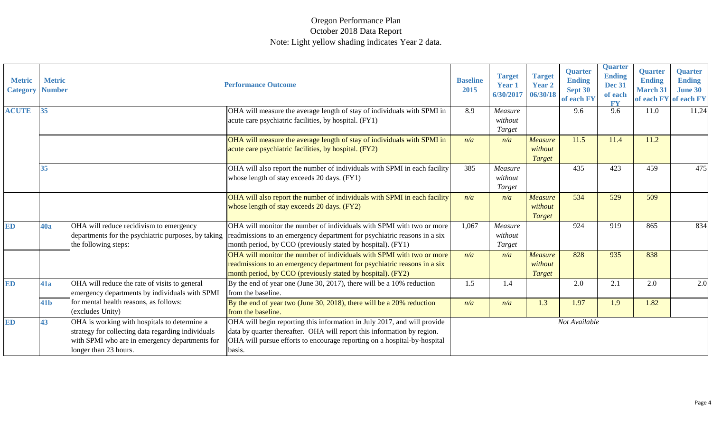| <b>Metric</b><br><b>Category Number</b> | <b>Metric</b>   |                                                                                                                                                                               | <b>Performance Outcome</b>                                                                                                                                                                                                                | <b>Baseline</b><br>2015 | <b>Target</b><br><b>Year 1</b><br>6/30/2017 | <b>Target</b><br><b>Year 2</b><br>06/30/18 | <b>Quarter</b><br><b>Ending</b><br>Sept 30<br>of each FY | <b>Quarter</b><br><b>Ending</b><br><b>Dec 31</b><br>of each<br><b>FY</b> | <b>Quarter</b><br><b>Ending</b><br><b>March 31</b><br>of each FY | Quarter<br><b>Ending</b><br><b>June 30</b><br>of each FY |
|-----------------------------------------|-----------------|-------------------------------------------------------------------------------------------------------------------------------------------------------------------------------|-------------------------------------------------------------------------------------------------------------------------------------------------------------------------------------------------------------------------------------------|-------------------------|---------------------------------------------|--------------------------------------------|----------------------------------------------------------|--------------------------------------------------------------------------|------------------------------------------------------------------|----------------------------------------------------------|
| <b>ACUTE</b>                            | 35              |                                                                                                                                                                               | OHA will measure the average length of stay of individuals with SPMI in<br>acute care psychiatric facilities, by hospital. (FY1)                                                                                                          | 8.9                     | Measure<br>without<br>Target                |                                            | 9.6                                                      | 9.6                                                                      | 11.0                                                             | 11.24                                                    |
|                                         |                 |                                                                                                                                                                               | OHA will measure the average length of stay of individuals with SPMI in<br>acute care psychiatric facilities, by hospital. (FY2)                                                                                                          | n/a                     | n/a                                         | <b>Measure</b><br>without<br>Target        | 11.5                                                     | 11.4                                                                     | 11.2                                                             |                                                          |
|                                         | 35              |                                                                                                                                                                               | OHA will also report the number of individuals with SPMI in each facility<br>whose length of stay exceeds 20 days. (FY1)                                                                                                                  | 385                     | Measure<br>without<br>Target                |                                            | 435                                                      | 423                                                                      | 459                                                              | 475                                                      |
|                                         |                 |                                                                                                                                                                               | OHA will also report the number of individuals with SPMI in each facility<br>whose length of stay exceeds 20 days. (FY2)                                                                                                                  | n/a                     | n/a                                         | <b>Measure</b><br>without<br>Target        | 534                                                      | 529                                                                      | 509                                                              |                                                          |
| <b>ED</b>                               | <b>40a</b>      | OHA will reduce recidivism to emergency<br>departments for the psychiatric purposes, by taking<br>the following steps:                                                        | OHA will monitor the number of individuals with SPMI with two or more<br>readmissions to an emergency department for psychiatric reasons in a six<br>month period, by CCO (previously stated by hospital). (FY1)                          | 1,067                   | Measure<br>without<br>Target                |                                            | 924                                                      | 919                                                                      | 865                                                              | 834                                                      |
|                                         |                 |                                                                                                                                                                               | OHA will monitor the number of individuals with SPMI with two or more<br>readmissions to an emergency department for psychiatric reasons in a six<br>month period, by CCO (previously stated by hospital). (FY2)                          | n/a                     | n/a                                         | <b>Measure</b><br>without<br>Target        | 828                                                      | 935                                                                      | 838                                                              |                                                          |
| ED                                      | <b>41a</b>      | OHA will reduce the rate of visits to general<br>emergency departments by individuals with SPMI                                                                               | By the end of year one (June 30, 2017), there will be a $10\%$ reduction<br>from the baseline.                                                                                                                                            | 1.5                     | 1.4                                         |                                            | 2.0                                                      | 2.1                                                                      | 2.0                                                              | 2.0                                                      |
|                                         | 41 <sub>b</sub> | for mental health reasons, as follows:<br>(excludes Unity)                                                                                                                    | By the end of year two (June 30, 2018), there will be a $20\%$ reduction<br>from the baseline.                                                                                                                                            | n/a                     | n/a                                         | 1.3                                        | 1.97                                                     | 1.9                                                                      | 1.82                                                             |                                                          |
| <b>ED</b>                               | 43              | OHA is working with hospitals to determine a<br>strategy for collecting data regarding individuals<br>with SPMI who are in emergency departments for<br>longer than 23 hours. | OHA will begin reporting this information in July 2017, and will provide<br>data by quarter thereafter. OHA will report this information by region.<br>OHA will pursue efforts to encourage reporting on a hospital-by-hospital<br>basis. |                         |                                             |                                            | Not Available                                            |                                                                          |                                                                  |                                                          |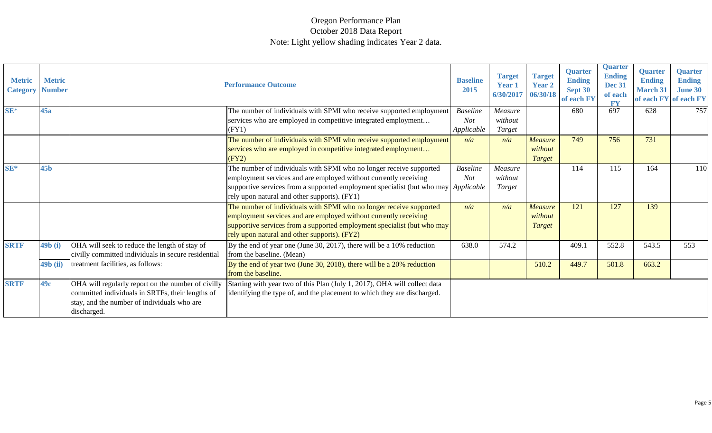| <b>Metric</b><br><b>Category</b> | <b>Metric</b><br><b>Number</b> |                                                                                                                                                                      | <b>Performance Outcome</b>                                                                                                                                                                                                                                                    | <b>Baseline</b><br>2015              | <b>Target</b><br>Year 1<br>6/30/2017 | <b>Target</b><br><b>Year 2</b><br>06/30/18 | <b>Quarter</b><br><b>Ending</b><br>Sept 30<br>of each FY | <b>Quarter</b><br><b>Ending</b><br><b>Dec 31</b><br>of each<br><b>FY</b> | <b>Quarter</b><br><b>Ending</b><br><b>March 31</b><br>of each FY | <b>Quarter</b><br><b>Ending</b><br><b>June 30</b><br>of each FY |
|----------------------------------|--------------------------------|----------------------------------------------------------------------------------------------------------------------------------------------------------------------|-------------------------------------------------------------------------------------------------------------------------------------------------------------------------------------------------------------------------------------------------------------------------------|--------------------------------------|--------------------------------------|--------------------------------------------|----------------------------------------------------------|--------------------------------------------------------------------------|------------------------------------------------------------------|-----------------------------------------------------------------|
| $SE*$                            | 45a                            |                                                                                                                                                                      | The number of individuals with SPMI who receive supported employment<br>services who are employed in competitive integrated employment<br>(FY1)                                                                                                                               | <b>Baseline</b><br>Not<br>Applicable | Measure<br>without<br>Target         |                                            | 680                                                      | 697                                                                      | 628                                                              | 757                                                             |
|                                  |                                |                                                                                                                                                                      | The number of individuals with SPMI who receive supported employment<br>services who are employed in competitive integrated employment<br>(FY2)                                                                                                                               | n/a                                  | n/a                                  | Measure<br>without<br><b>Target</b>        | 749                                                      | 756                                                                      | 731                                                              |                                                                 |
| SE*                              | 45 <sub>b</sub>                |                                                                                                                                                                      | The number of individuals with SPMI who no longer receive supported<br>employment services and are employed without currently receiving<br>supportive services from a supported employment specialist (but who may Applicable<br>rely upon natural and other supports). (FY1) | <b>Baseline</b><br><b>Not</b>        | Measure<br>without<br>Target         |                                            | 114                                                      | 115                                                                      | 164                                                              | <b>110</b>                                                      |
|                                  |                                |                                                                                                                                                                      | The number of individuals with SPMI who no longer receive supported<br>employment services and are employed without currently receiving<br>supportive services from a supported employment specialist (but who may<br>rely upon natural and other supports). (FY2)            | n/a                                  | n/a                                  | <b>Measure</b><br>without<br><b>Target</b> | 121                                                      | 127                                                                      | 139                                                              |                                                                 |
| <b>SRTF</b>                      | 49 <b>b</b> (i)                | OHA will seek to reduce the length of stay of<br>civilly committed individuals in secure residential                                                                 | By the end of year one (June 30, 2017), there will be a 10% reduction<br>from the baseline. (Mean)                                                                                                                                                                            | 638.0                                | 574.2                                |                                            | 409.1                                                    | 552.8                                                                    | 543.5                                                            | 553                                                             |
|                                  | 49 <b>b</b> (ii)               | treatment facilities, as follows:                                                                                                                                    | By the end of year two (June 30, 2018), there will be a $20\%$ reduction<br>from the baseline.                                                                                                                                                                                |                                      |                                      | 510.2                                      | 449.7                                                    | 501.8                                                                    | 663.2                                                            |                                                                 |
| <b>SRTF</b>                      | 49c                            | OHA will regularly report on the number of civilly<br>committed individuals in SRTFs, their lengths of<br>stay, and the number of individuals who are<br>discharged. | Starting with year two of this Plan (July 1, 2017), OHA will collect data<br>identifying the type of, and the placement to which they are discharged.                                                                                                                         |                                      |                                      |                                            |                                                          |                                                                          |                                                                  |                                                                 |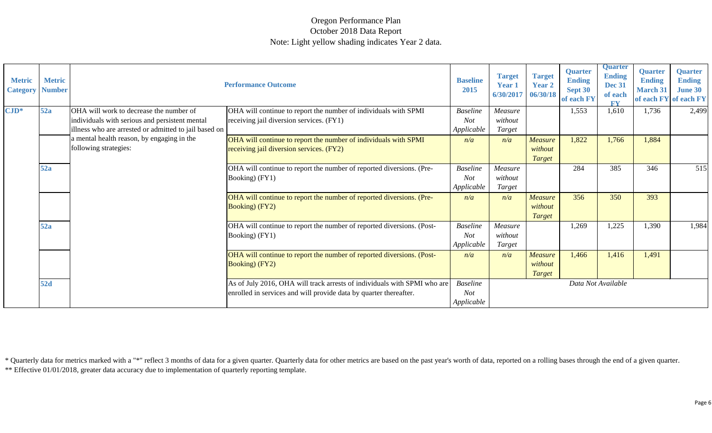\*\* Effective 01/01/2018, greater data accuracy due to implementation of quarterly reporting template. \* Quarterly data for metrics marked with a "\*" reflect 3 months of data for a given quarter. Quarterly data for other metrics are based on the past year's worth of data, reported on a rolling bases through the end of a giv

| <b>Metric</b><br><b>Category Number</b> | <b>Metric</b> |                                                                      | <b>Performance Outcome</b>                                               | <b>Baseline</b><br>2015 | <b>Target</b><br><b>Year 1</b><br>6/30/2017 | <b>Target</b><br><b>Year 2</b><br>06/30/18 | <b>Quarter</b><br><b>Ending</b><br>Sept 30<br>of each FY | <b>Quarter</b><br><b>Ending</b><br><b>Dec 31</b><br>of each<br><b>FV</b> | <b>Quarter</b><br><b>Ending</b><br><b>March 31</b><br>of each FY | <b>Quarter</b><br><b>Ending</b><br><b>June 30</b><br>of each FY |
|-----------------------------------------|---------------|----------------------------------------------------------------------|--------------------------------------------------------------------------|-------------------------|---------------------------------------------|--------------------------------------------|----------------------------------------------------------|--------------------------------------------------------------------------|------------------------------------------------------------------|-----------------------------------------------------------------|
| $\text{CID*}$                           | 52a           | OHA will work to decrease the number of                              | OHA will continue to report the number of individuals with SPMI          | <b>Baseline</b>         | Measure                                     |                                            | 1,553                                                    | 1,610                                                                    | 1,736                                                            | 2,499                                                           |
|                                         |               | individuals with serious and persistent mental                       | receiving jail diversion services. (FY1)                                 | <b>Not</b>              | without                                     |                                            |                                                          |                                                                          |                                                                  |                                                                 |
|                                         |               | illness who are arrested or admitted to jail based on                |                                                                          | Applicable              | Target                                      |                                            |                                                          |                                                                          |                                                                  |                                                                 |
|                                         |               | a mental health reason, by engaging in the                           | OHA will continue to report the number of individuals with SPMI          | n/a                     | n/a                                         | <b>Measure</b>                             | 1,822                                                    | 1,766                                                                    | 1,884                                                            |                                                                 |
|                                         |               | following strategies:                                                | receiving jail diversion services. (FY2)                                 |                         |                                             | without                                    |                                                          |                                                                          |                                                                  |                                                                 |
|                                         |               |                                                                      |                                                                          |                         |                                             | Target                                     |                                                          |                                                                          |                                                                  |                                                                 |
|                                         | 52a           |                                                                      | OHA will continue to report the number of reported diversions. (Pre-     | <b>Baseline</b>         | Measure                                     |                                            | 284                                                      | 385                                                                      | 346                                                              | 515                                                             |
|                                         |               | Booking) (FY1)                                                       | <b>Not</b>                                                               | without                 |                                             |                                            |                                                          |                                                                          |                                                                  |                                                                 |
|                                         |               |                                                                      |                                                                          | Applicable              | Target                                      |                                            |                                                          |                                                                          |                                                                  |                                                                 |
|                                         |               | OHA will continue to report the number of reported diversions. (Pre- | n/a                                                                      | n/a                     | Measure                                     | 356                                        | 350                                                      | 393                                                                      |                                                                  |                                                                 |
|                                         |               |                                                                      | <b>Booking</b> ) (FY2)                                                   |                         |                                             | without                                    |                                                          |                                                                          |                                                                  |                                                                 |
|                                         |               |                                                                      |                                                                          |                         |                                             | <b>Target</b>                              |                                                          |                                                                          |                                                                  |                                                                 |
|                                         | 52a           |                                                                      | OHA will continue to report the number of reported diversions. (Post-    | <b>Baseline</b>         | Measure                                     |                                            | 1,269                                                    | 1,225                                                                    | 1,390                                                            | 1,984                                                           |
|                                         |               | Booking) (FY1)                                                       | <b>Not</b>                                                               | without                 |                                             |                                            |                                                          |                                                                          |                                                                  |                                                                 |
|                                         |               |                                                                      |                                                                          | Applicable              | Target                                      |                                            |                                                          |                                                                          |                                                                  |                                                                 |
|                                         |               |                                                                      | OHA will continue to report the number of reported diversions. (Post-    | n/a                     | n/a                                         | <b>Measure</b>                             | 1,466                                                    | 1,416                                                                    | 1,491                                                            |                                                                 |
|                                         |               |                                                                      | <b>Booking</b> ) (FY2)                                                   |                         |                                             | without                                    |                                                          |                                                                          |                                                                  |                                                                 |
|                                         |               |                                                                      |                                                                          |                         |                                             | <b>Target</b>                              |                                                          |                                                                          |                                                                  |                                                                 |
|                                         | <b>52d</b>    |                                                                      | As of July 2016, OHA will track arrests of individuals with SPMI who are | <b>Baseline</b>         |                                             |                                            | Data Not Available                                       |                                                                          |                                                                  |                                                                 |
|                                         |               |                                                                      | enrolled in services and will provide data by quarter thereafter.        | <b>Not</b>              |                                             |                                            |                                                          |                                                                          |                                                                  |                                                                 |
|                                         |               |                                                                      |                                                                          | Applicable              |                                             |                                            |                                                          |                                                                          |                                                                  |                                                                 |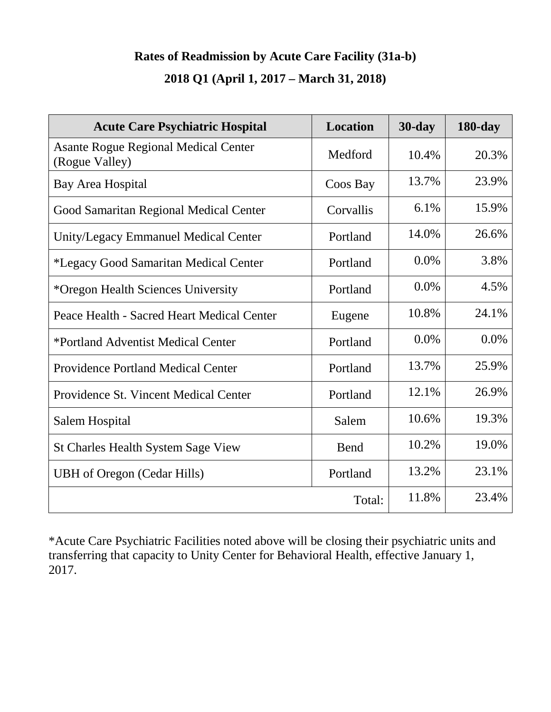#### **Rates of Readmission by Acute Care Facility (31a-b)**

### **2018 Q1 (April 1, 2017 – March 31, 2018)**

| <b>Acute Care Psychiatric Hospital</b>                        | Location  | $30$ -day | $180$ -day |
|---------------------------------------------------------------|-----------|-----------|------------|
| <b>Asante Rogue Regional Medical Center</b><br>(Rogue Valley) | Medford   | 10.4%     | 20.3%      |
| Bay Area Hospital                                             | Coos Bay  | 13.7%     | 23.9%      |
| Good Samaritan Regional Medical Center                        | Corvallis | 6.1%      | 15.9%      |
| <b>Unity/Legacy Emmanuel Medical Center</b>                   | Portland  | 14.0%     | 26.6%      |
| *Legacy Good Samaritan Medical Center                         | Portland  | 0.0%      | 3.8%       |
| *Oregon Health Sciences University                            | Portland  | 0.0%      | 4.5%       |
| Peace Health - Sacred Heart Medical Center                    | Eugene    | 10.8%     | 24.1%      |
| *Portland Adventist Medical Center                            | Portland  | 0.0%      | 0.0%       |
| <b>Providence Portland Medical Center</b>                     | Portland  | 13.7%     | 25.9%      |
| Providence St. Vincent Medical Center                         | Portland  | 12.1%     | 26.9%      |
| Salem Hospital                                                | Salem     | 10.6%     | 19.3%      |
| <b>St Charles Health System Sage View</b>                     | Bend      | 10.2%     | 19.0%      |
| <b>UBH</b> of Oregon (Cedar Hills)                            | Portland  | 13.2%     | 23.1%      |
|                                                               | Total:    | 11.8%     | 23.4%      |

\*Acute Care Psychiatric Facilities noted above will be closing their psychiatric units and transferring that capacity to Unity Center for Behavioral Health, effective January 1, 2017.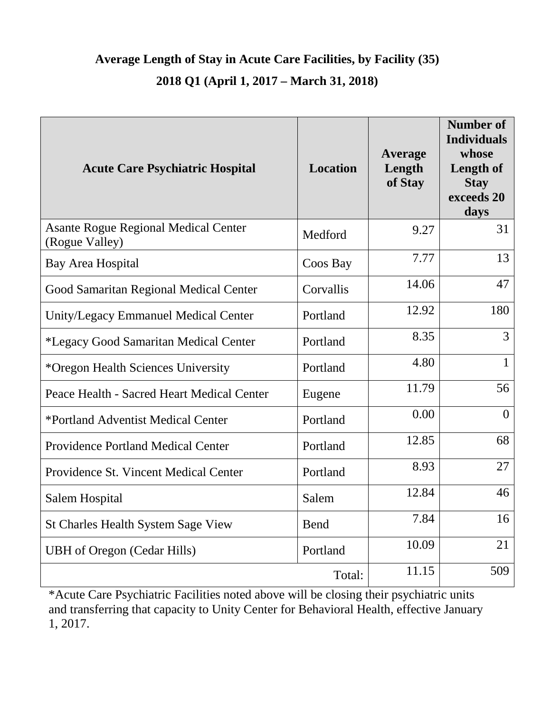## **Average Length of Stay in Acute Care Facilities, by Facility (35) 2018 Q1 (April 1, 2017 – March 31, 2018)**

| <b>Acute Care Psychiatric Hospital</b>                        | <b>Location</b> | <b>Average</b><br>Length<br>of Stay | <b>Number of</b><br><b>Individuals</b><br>whose<br><b>Length of</b><br><b>Stay</b><br>exceeds 20<br>days |
|---------------------------------------------------------------|-----------------|-------------------------------------|----------------------------------------------------------------------------------------------------------|
| <b>Asante Rogue Regional Medical Center</b><br>(Rogue Valley) | Medford         | 9.27                                | 31                                                                                                       |
| <b>Bay Area Hospital</b>                                      | Coos Bay        | 7.77                                | 13                                                                                                       |
| Good Samaritan Regional Medical Center                        | Corvallis       | 14.06                               | 47                                                                                                       |
| Unity/Legacy Emmanuel Medical Center                          | Portland        | 12.92                               | 180                                                                                                      |
| *Legacy Good Samaritan Medical Center                         | Portland        | 8.35                                | 3                                                                                                        |
| *Oregon Health Sciences University                            | Portland        | 4.80                                | $\mathbf{1}$                                                                                             |
| Peace Health - Sacred Heart Medical Center                    | Eugene          | 11.79                               | 56                                                                                                       |
| *Portland Adventist Medical Center                            | Portland        | 0.00                                | $\theta$                                                                                                 |
| <b>Providence Portland Medical Center</b>                     | Portland        | 12.85                               | 68                                                                                                       |
| Providence St. Vincent Medical Center                         | Portland        | 8.93                                | 27                                                                                                       |
| Salem Hospital                                                | Salem           | 12.84                               | 46                                                                                                       |
| St Charles Health System Sage View                            | <b>Bend</b>     | 7.84                                | 16                                                                                                       |
| <b>UBH</b> of Oregon (Cedar Hills)                            | Portland        | 10.09                               | 21                                                                                                       |
|                                                               | Total:          | 11.15                               | 509                                                                                                      |

\*Acute Care Psychiatric Facilities noted above will be closing their psychiatric units and transferring that capacity to Unity Center for Behavioral Health, effective January 1, 2017.